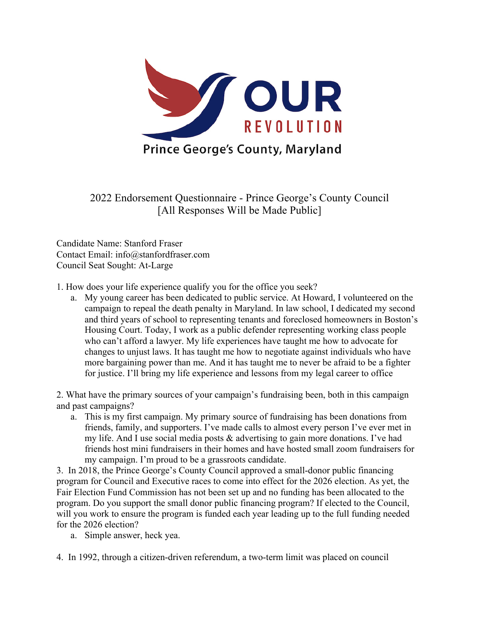

2022 Endorsement Questionnaire - Prince George's County Council [All Responses Will be Made Public]

Candidate Name: Stanford Fraser Contact Email: info@stanfordfraser.com Council Seat Sought: At-Large

- 1. How does your life experience qualify you for the office you seek?
	- a. My young career has been dedicated to public service. At Howard, I volunteered on the campaign to repeal the death penalty in Maryland. In law school, I dedicated my second and third years of school to representing tenants and foreclosed homeowners in Boston's Housing Court. Today, I work as a public defender representing working class people who can't afford a lawyer. My life experiences have taught me how to advocate for changes to unjust laws. It has taught me how to negotiate against individuals who have more bargaining power than me. And it has taught me to never be afraid to be a fighter for justice. I'll bring my life experience and lessons from my legal career to office

2. What have the primary sources of your campaign's fundraising been, both in this campaign and past campaigns?

a. This is my first campaign. My primary source of fundraising has been donations from friends, family, and supporters. I've made calls to almost every person I've ever met in my life. And I use social media posts & advertising to gain more donations. I've had friends host mini fundraisers in their homes and have hosted small zoom fundraisers for my campaign. I'm proud to be a grassroots candidate.

3. In 2018, the Prince George's County Council approved a small-donor public financing program for Council and Executive races to come into effect for the 2026 election. As yet, the Fair Election Fund Commission has not been set up and no funding has been allocated to the program. Do you support the small donor public financing program? If elected to the Council, will you work to ensure the program is funded each year leading up to the full funding needed for the 2026 election?

a. Simple answer, heck yea.

4. In 1992, through a citizen-driven referendum, a two-term limit was placed on council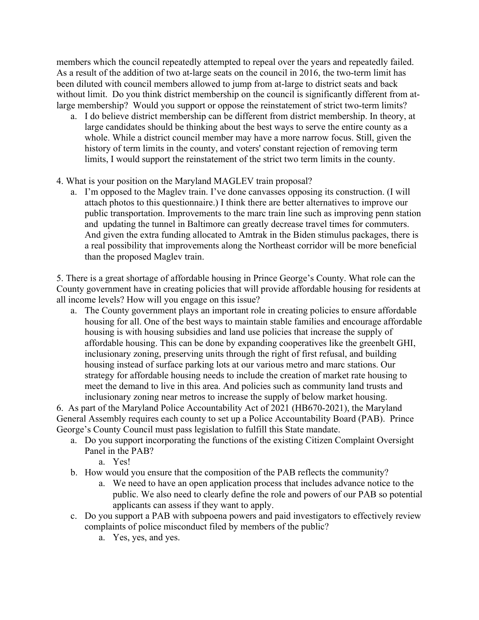members which the council repeatedly attempted to repeal over the years and repeatedly failed. As a result of the addition of two at-large seats on the council in 2016, the two-term limit has been diluted with council members allowed to jump from at-large to district seats and back without limit. Do you think district membership on the council is significantly different from atlarge membership? Would you support or oppose the reinstatement of strict two-term limits?

- a. I do believe district membership can be different from district membership. In theory, at large candidates should be thinking about the best ways to serve the entire county as a whole. While a district council member may have a more narrow focus. Still, given the history of term limits in the county, and voters' constant rejection of removing term limits, I would support the reinstatement of the strict two term limits in the county.
- 4. What is your position on the Maryland MAGLEV train proposal?
	- a. I'm opposed to the Maglev train. I've done canvasses opposing its construction. (I will attach photos to this questionnaire.) I think there are better alternatives to improve our public transportation. Improvements to the marc train line such as improving penn station and updating the tunnel in Baltimore can greatly decrease travel times for commuters. And given the extra funding allocated to Amtrak in the Biden stimulus packages, there is a real possibility that improvements along the Northeast corridor will be more beneficial than the proposed Maglev train.

5. There is a great shortage of affordable housing in Prince George's County. What role can the County government have in creating policies that will provide affordable housing for residents at all income levels? How will you engage on this issue?

a. The County government plays an important role in creating policies to ensure affordable housing for all. One of the best ways to maintain stable families and encourage affordable housing is with housing subsidies and land use policies that increase the supply of affordable housing. This can be done by expanding cooperatives like the greenbelt GHI, inclusionary zoning, preserving units through the right of first refusal, and building housing instead of surface parking lots at our various metro and marc stations. Our strategy for affordable housing needs to include the creation of market rate housing to meet the demand to live in this area. And policies such as community land trusts and inclusionary zoning near metros to increase the supply of below market housing.

6. As part of the Maryland Police Accountability Act of 2021 (HB670-2021), the Maryland General Assembly requires each county to set up a Police Accountability Board (PAB). Prince George's County Council must pass legislation to fulfill this State mandate.

- a. Do you support incorporating the functions of the existing Citizen Complaint Oversight Panel in the PAB?
	- a. Yes!
- b. How would you ensure that the composition of the PAB reflects the community?
	- a. We need to have an open application process that includes advance notice to the public. We also need to clearly define the role and powers of our PAB so potential applicants can assess if they want to apply.
- c. Do you support a PAB with subpoena powers and paid investigators to effectively review complaints of police misconduct filed by members of the public?
	- a. Yes, yes, and yes.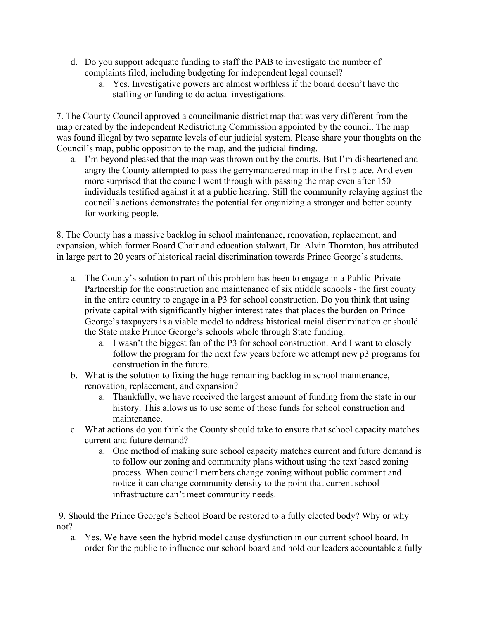- d. Do you support adequate funding to staff the PAB to investigate the number of complaints filed, including budgeting for independent legal counsel?
	- a. Yes. Investigative powers are almost worthless if the board doesn't have the staffing or funding to do actual investigations.

7. The County Council approved a councilmanic district map that was very different from the map created by the independent Redistricting Commission appointed by the council. The map was found illegal by two separate levels of our judicial system. Please share your thoughts on the Council's map, public opposition to the map, and the judicial finding.

a. I'm beyond pleased that the map was thrown out by the courts. But I'm disheartened and angry the County attempted to pass the gerrymandered map in the first place. And even more surprised that the council went through with passing the map even after 150 individuals testified against it at a public hearing. Still the community relaying against the council's actions demonstrates the potential for organizing a stronger and better county for working people.

8. The County has a massive backlog in school maintenance, renovation, replacement, and expansion, which former Board Chair and education stalwart, Dr. Alvin Thornton, has attributed in large part to 20 years of historical racial discrimination towards Prince George's students.

- a. The County's solution to part of this problem has been to engage in a Public-Private Partnership for the construction and maintenance of six middle schools - the first county in the entire country to engage in a P3 for school construction. Do you think that using private capital with significantly higher interest rates that places the burden on Prince George's taxpayers is a viable model to address historical racial discrimination or should the State make Prince George's schools whole through State funding.
	- a. I wasn't the biggest fan of the P3 for school construction. And I want to closely follow the program for the next few years before we attempt new p3 programs for construction in the future.
- b. What is the solution to fixing the huge remaining backlog in school maintenance, renovation, replacement, and expansion?
	- a. Thankfully, we have received the largest amount of funding from the state in our history. This allows us to use some of those funds for school construction and maintenance.
- c. What actions do you think the County should take to ensure that school capacity matches current and future demand?
	- a. One method of making sure school capacity matches current and future demand is to follow our zoning and community plans without using the text based zoning process. When council members change zoning without public comment and notice it can change community density to the point that current school infrastructure can't meet community needs.

9. Should the Prince George's School Board be restored to a fully elected body? Why or why not?

a. Yes. We have seen the hybrid model cause dysfunction in our current school board. In order for the public to influence our school board and hold our leaders accountable a fully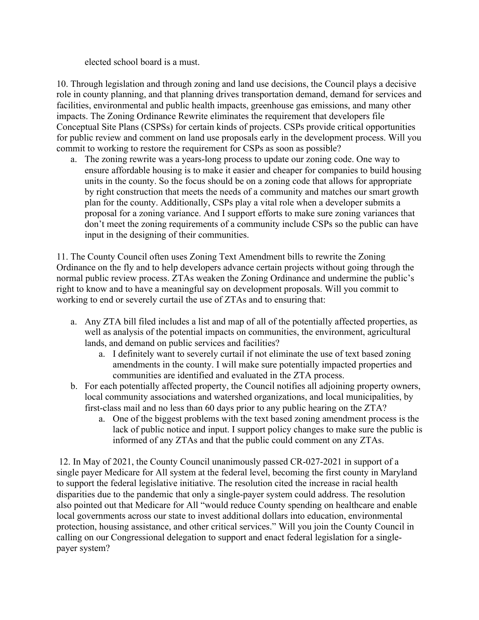elected school board is a must.

10. Through legislation and through zoning and land use decisions, the Council plays a decisive role in county planning, and that planning drives transportation demand, demand for services and facilities, environmental and public health impacts, greenhouse gas emissions, and many other impacts. The Zoning Ordinance Rewrite eliminates the requirement that developers file Conceptual Site Plans (CSPSs) for certain kinds of projects. CSPs provide critical opportunities for public review and comment on land use proposals early in the development process. Will you commit to working to restore the requirement for CSPs as soon as possible?

a. The zoning rewrite was a years-long process to update our zoning code. One way to ensure affordable housing is to make it easier and cheaper for companies to build housing units in the county. So the focus should be on a zoning code that allows for appropriate by right construction that meets the needs of a community and matches our smart growth plan for the county. Additionally, CSPs play a vital role when a developer submits a proposal for a zoning variance. And I support efforts to make sure zoning variances that don't meet the zoning requirements of a community include CSPs so the public can have input in the designing of their communities.

11. The County Council often uses Zoning Text Amendment bills to rewrite the Zoning Ordinance on the fly and to help developers advance certain projects without going through the normal public review process. ZTAs weaken the Zoning Ordinance and undermine the public's right to know and to have a meaningful say on development proposals. Will you commit to working to end or severely curtail the use of ZTAs and to ensuring that:

- a. Any ZTA bill filed includes a list and map of all of the potentially affected properties, as well as analysis of the potential impacts on communities, the environment, agricultural lands, and demand on public services and facilities?
	- a. I definitely want to severely curtail if not eliminate the use of text based zoning amendments in the county. I will make sure potentially impacted properties and communities are identified and evaluated in the ZTA process.
- b. For each potentially affected property, the Council notifies all adjoining property owners, local community associations and watershed organizations, and local municipalities, by first-class mail and no less than 60 days prior to any public hearing on the ZTA?
	- a. One of the biggest problems with the text based zoning amendment process is the lack of public notice and input. I support policy changes to make sure the public is informed of any ZTAs and that the public could comment on any ZTAs.

12. In May of 2021, the County Council unanimously passed CR-027-2021 in support of a single payer Medicare for All system at the federal level, becoming the first county in Maryland to support the federal legislative initiative. The resolution cited the increase in racial health disparities due to the pandemic that only a single-payer system could address. The resolution also pointed out that Medicare for All "would reduce County spending on healthcare and enable local governments across our state to invest additional dollars into education, environmental protection, housing assistance, and other critical services." Will you join the County Council in calling on our Congressional delegation to support and enact federal legislation for a singlepayer system?